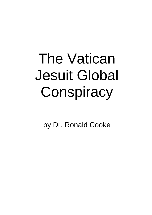# The Vatican Jesuit Global **Conspiracy**

by Dr. Ronald Cooke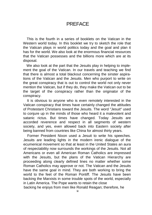#### **PRFFACE**

This is the fourth in a series of booklets on the Vatican in the Western world today. In this booklet we try to sketch the role that the Vatican plays in world politics today and the goal and plan it has for the world. We also look at the enormous financial resources that the Vatican possesses and the billions more which are at its disposal.

We also look at the part that the Jesuits play in helping to implement the goal of the Vatican. In our travels and teaching we find that there is almost a total blackout concerning the sinster aspirations of the Vatican and the Jesuits. Men who purport to write on the great conspiracy that is out to control the world not only never mention the Vatican, but if they do, they make the Vatican out to be the target of the conspiracy rather than the originator of the conspiracy.

It is obvious to anyone who is even remotely interested in the Vatican conspiracy that times have certainly changed the attitudes of Protestant Christians toward the Jesuits. The word "Jesuit" used to conjure up in the minds of those who heard it a malevolent and satanic rictus. But times have changed. Today Jesuits are accorded reverence and respect in all segments of western society, and yes, even allowed back into Eastern society after being banned from countries like China for almost thirty years.

Former President Nixon used a Jesuit to write his speeches. Jesuits are leading lights in the modern irenic dialogue of the ecumenical movement so that at least in the United States an aura of respectability now surrounds the workings of the Jesuits. Not all Americans or even all American Roman Catholics are impressed with the Jesuits, but the plans of the Vatican Hierarchy are proceeding along clearly defined lines no matter whether some Roman Catholics may approve or not. The Vatican and the Jesuits have the same goal in mind. They are both working to bring the world to the feet of the Roman Pontiff. The Jesuits have been backing the Marxists in some trouble spots of the world, especially in Latin America. The Pope wants to retain the close backing he enjoys from men like Ronald Reagan; therefore, he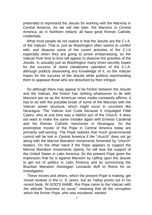pretended to reprimand the Jesuits for working with the Marxists in Central America. As we will see later, the Marxists in Central America, as in Northern Ireland, all have good Roman Catholic credentials.

What most people do not realize is that the Jesuits are the C.I.A. of the Vatican. That is, just as Washington often seems to conflict with, and disavow some of the covert activities of the C.I.A especially when they are going to prove embarrassing, so the Vatican from time to time will appear to disavow the activities of the Jesuits. In actuality just as Washington many times secretly hopes for the success of some clandestine operation of the C.I.A. although publicly disavowing any knowledge of it, so the Vatican hopes for the success of the Jesuits while publicly reprimanding them to appease those who are disturbed by their intrigue.

So although there may appear to be friction between the Jesuits and the Vatican, the friction has nothing whatsoever to do with Marxism per se as the American news media constantly affirms, it has to do with the possible break of some of the Marxists with the Vatican power structure, which might occur in countries like Nicaragua. The Vatican lost Cuba because it misjudged Fidel Castro, who at one time was a faithful son of the Church. It does not want to make the same mistake again with Ernesto Cardenal and his Roman Catholic henchmen in Nicaragua. So the preemptive moves of the Pope in Central America today are primarily self-serving. The Pope realizes that much governmental control will be lost in Central America if the "church" does not go along with the Marxist liberation movements fomented by "church" leaders. On the other hand if the Pope appears to support the Marxist liberation movements openly, he will lose the support of the United States in Latin America. So the present Pope gives the impression that he is against Marxism by calling upon the Jesuits to get out of politics in Latin America and by summoning the Brazilian liberation theologian Leonardo Boff to Rome for an investigation.

These moves and others, which the present Pope is making, get mixed reviews in the U. S. press, but as Yallup points out in his recent book, IN GOD'S NAME, this Pope came to the Vatican with the attitude "business as usual," meaning that all the corruption which the former Pope, who was murdered, wanted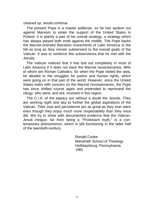cleaned up, would continue.

The present Pope is a master politician, so he has spoken out against Marxism to retain the support of the United States in Poland. It is plainly a part of his overall strategy, a strategy which has always played both ends against the middle. The Pope backs the Marxist-oriented liberation movements of Latin America to the hilt as long as they remain subservient to the overall goals of the Vatican. It was to reinforce this subservience that he met with the Jesuits.

The Vatican realizes that it has lost out completely in most of Latin America if it does not back the Marxist revolutionaries, 99% of whom are Roman Catholics. So when the Pope visited the area, he alluded to the struggles for justice and human rights, which were going on in that part of the world. However, since the United States looks with concern on the Marxist revolutionaries, the Pope has since shifted course again and pretended to reprimand the clergy, who were, and are, involved in this region.

The C.I.A. of the papacy are without a doubt the Jesuits. They are working night and day to further the global aspirations of the Vatican. Their zeal and persistence are as great as they ever were even though they enjoy much more respectability than they once did. We try to show with documented evidence that the Vatican-Jesuit intrigue, far from being a "Protestant myth," is a contemporary phenomenon, which is still functioning in the latter half of the twentieth-century.

> Ronald Cooke Manahath School of Theology Hollidaysburg, Pennsylvania 1985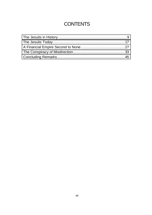# **CONTENTS**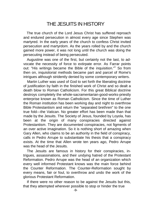# THE JESUITS IN HISTORY

<span id="page-5-0"></span>The true church of the Lord Jesus Christ has suffered reproach and endured persecution in almost every age since Stephen was martyred. In the early years of the church to confess Christ invited persecution and martyrdom. As the years rolled by and the church gained more power, it was not long until the church was doing the persecuting instead of being persecuted.

Augustine was one of the first, but certainly not the last, to advocate the necessity of force to extirpate error. As Farrar points out: "His writings became the Bible of the inquisition."<sup>1</sup> So from then on, inquisitorial methods became part and parcel of Rome's intrigues although stridently denied by some contemporary writers.

Martin Luther was used of God to set forth the liberating doctrine of justification by faith in the finished work of Christ and so dealt a death blow to Roman Catholicism. For this great Biblical doctrine destroys completely the whole-sacramentarian-good-works-priestly enterprise known as Roman Catholicism. Since the time of Luther the Roman institution has been working day and night to overthrow Bible Protestantism and return the "separated brethren" to the one true fold—the Vatican. No greater effort has been made than that made by the Jesuits. The Society of Jesus, founded by Loyola, has been at the origin of many conspiracies directed against Protestantism. They are documented conspiracies, not figments of an over active imagination. So it is nothing short of amazing when Gary Allen, who claims to be an authority in the field of conspiracy, calls in Pedro Arrupe to substantiate his thesis that a conspiracy exists. At the time that Allen wrote ten years ago, Pedro Arrupe was the head of the Jesuits.

The Jesuits are famous in history for their conspiracies, intrigues, assassinations, and their undying hatred of the Protestant Reformation. Pedro Arrupe was the head of an organization which every well informed Protestant knows was the main force behind the Counter Reformation. The Counter-Reformation sought by every means, fair or foul, to overthrow and undo the work of the glorious Protestant Reformation.

If there were no other reason to be against the Jesuits but this, that they attempted wherever possible to stop or hinder the true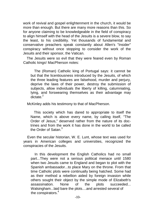work of revival and gospel enlightenment in the church, it would be more than enough. But there are many more reasons than this. So for anyone claiming to be knowledgeable in the field of conspiracy to align himself with the head of the Jesuits is a severe blow, to say the least, to his credibility. Yet thousands of fundamental and conservative preachers speak constantly about Allen's "Insider" conspiracy without once stopping to consider the work of the Jesuits and their sponsor, the Vatican.

The Jesuits were so evil that they were feared even by Roman Catholic kings! MacPherson notes:

The (Roman) Catholic king of Portugal says: it cannot be but that the licentiousness introduced by the Jesuits, of which the three leading features are falsehood, murder and perjury, deprive the laws of their power, destroy the submission of subjects, allow individuals the liberty of killing, calumniating, lying, and forswearing themselves as their advantage may dictate<sup>2</sup>

McKinley adds his testimony to that of MacPherson.

This society which has dared to appropriate to itself the Name, which is above every name, by calling itself, "The Order of Jesus," deserved rather from the nature of its doctrines and from the work it has done in the world to be called the Order of Satan $3$ 

Even the secular historian, W. E. Lunt, whose text was used for years in American colleges and universities, recognized the conspiracies of the Jesuits.

In this development the English Catholics had no small part...They were not a serious political menace until 1580 when two Jesuits came to England and began to plot with the Spanish ambassador...to place Mary on the throne. From that time Catholic plots were continually being hatched. Some had as their method a rebellion aided by foreign invasion while others sought their object by the simple mode of Elizabeth's<br>assassination. None of the plots succeeded... assassination. None of the plots succeeded... Walsingham...laid bare the plots....and arrested several of the conspirators.<sup>4</sup>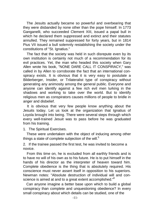The Jesuits actually became so powerful and overbearing that they were disbanded by none other than the pope himself. In 1773 Ganganelli, who succeeded Clement XIII, issued a papal bull in which he declared them suppressed and extinct and their statutes annulled. They remained suppressed for forty years, but in 1814 Pius VII issued a bull solemnly restablishing the society under the constitutions of "St. Ignatius."

The fact that the society was held in such disrepute even by its own institution is certainly not much of a recommendation for its evil practices. Yet, the man who headed this society when Gary Allen wrote his book, "NONE DARE CALL IT CONSPIRACY," was called in by Allen to corroborate the fact that an international conspiracy exists. It is obvious that it is very easy to postulate a Bilderberger, Insider, or Trilateralist type of conspiracy without generating any animosity among the general public. Everyone and anyone can identify against a few rich evil men lurking in the shadows and working to take over the world. But to identify religious men as conspirators causes millions of people to bridle in anger and disbelief.

It is obvious that very few people know anything about the Jesuits today. Let us look at the organization that Ignatius of Loyola brought into being. There were several steps through which every well-trained Jesuit was to pass before he was graduated from his training.

1. The Spiritual Exercises.

These were undertaken with the object of inducing among other things a state of complete subjection of the will.<sup>5</sup>

2. If the trainee passed the first test, he was invited to become a novice.

From this time on, he is excluded from all earthly friends and is to have no will of his own as to his future. He is to put himself in the hands of his director as the interpreter of heaven toward him. Complete obedience is the thing that is absolutely required. His conscience must never assert itself in opposition to his superiors. Newman notes: "Absolute destruction of individual will and conscience is aimed at and to a great extent accomplished."<sup>6</sup>

Can anyone imagine a better base upon which to build a global conspiracy than complete and unquestioning obedience? In every small conspiracy about which details can be studied, one of the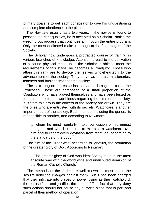primary goals is to get each conspirator to give his unquestioning and complete obedience to the plan.

The Novitiate usually lasts two years. If the novice is found to possess the right qualities, he is accepted as a Scholar. Notice the weeding out process that continues all through the entire program. Only the most dedicated make it through to the final stages of the Society.

The Scholar now undergoes a protracted course of training in various branches of knowledge. Attention is paid to the cultivation of a sound physical make-up. If the Scholar is able to meet the requirements of this stage, he becomes a Coadjutor. Those who attain this rank are to devote themselves wholeheartedly to the advancement of the society. They serve as priests, missionaries, teachers and businessmen for the society.

The next rung on the ecclesiastical ladder is a group called the Professed. These are composed of a small proportion of the Coadjutors who have proved themselves and have been tested as to their complete trustworthiness regarding the aims of the society. It is from this group the officers of the society are drawn. They are the ones who are entrusted with its secrets. Watchcare is another important part of the society. Each member including the general is responsible to another, and according to Newman:

to whom he must regularly make confession of his inmost thoughts, and who is required to exercize a watchcare over him and to report every deviation from rectitude, according to the standards of the body.<sup>7</sup>

The aim of the Order was, according to Ignatius, the promotion of the greater glory of God. According to Newman:

The greater glory of God was identified by them in the most absolute way with the world wide and undisputed dominion of the Roman Catholic Church.<sup>8</sup>

The methods of the Order are well known. In most cases the Jesuits deny the charges against them. But it has been charged that they infiltrate into places of power using as their watchword, the phrase "the end justifies the means." The fact that they deny such actions should not cause any surprise since that is part and parcel of their method of operation.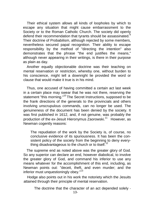Their ethical system allows all kinds of loopholes by which to escape any situation that might cause embarrassment to the Society or to the Roman Catholic Church. The society did openly defend their recommendation that tyrants should be assassinated.<sup>9</sup> Their doctrine of Probabilism, although rejected by some members, nevertheless secured papal recognition. Their ability to escape responsibility by the method of "directing the intention" also demonstrates that the phrase "the end justifies the means," although never appearing in their writings, is there in their purpose as plain as day.

Another equally objectionable doctrine was their teaching on mental reservation or restriction, whereby one, without burden to his conscience, might tell a downright lie provided the word or clause that would make it true is in his mind.

Thus, one accused of having committed a certain act last week in a certain place may swear that he was not there, reserving the statement "this morning."<sup>10</sup> The Secret Instructions, supposed to be the frank directions of the generals to the provincials and others involving unscrupulous commands, can no longer be used. The genuineness of the document has been denied by the society. It was first published in 1612, and, if not genuine, was probably the production of the ex-Jesuit Hieronymus Zaorowski.<sup>11</sup> However, as Newman cogently reasons:

The repudiation of the work by the Society is, of course, no conclusive evidence of its spuriousness. It has been the consistent policy of the society from the beginning to deny everything disadvantageous to the church or to itself.<sup>12</sup>

The supreme end as noted above was the greater glory of God. So any superior can declare an end, however diabolical, to involve the greater glory of God, and command his inferior to use any means whatever for the accomplishment of this end, including, as Newman points out: "deceit, theft, and even murder; and the inferior must unquestioningly obey."<sup>13</sup>

Hodge also points out in his work the notoriety which the Jesuits attained through their principle of mental reservation.

The doctrine that the character of an act depended solely -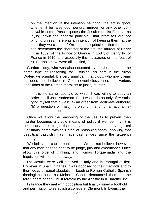on the intention. If the intention be good, the act is good; whether it be falsehood, perjury, murder, or any other conceivable crime. Pascal quotes the Jesuit moralist Escobar as laying down the general principle, "that promises are not binding unless there was an intention of keeping them, at the time they were made." On the same principle, that the intention determines the character of the act, the murder of Henry III, in 1589; of the Prince of Orange in 1584; of Henry IV, of France in 1610; and especially the massacres on the feast of St. Bartholomew, were all justified.<sup>14</sup>

Gordon Liddy, who was also educated by the Jesuits, used the same type of reasoning for justifying his part in the Nixon Watergate scandal. It is very significant that Liddy, who now claims he does not believe in God, nevertheless uses the various definitions of the Roman moralists to justify murder.

It is the same rationale by which I was willing to obey an order to kill Jack Anderson. But I would do so only after satisfying myself that it was: (a) an order from legitimate authority; (b) a question of malum prohibitum; and (c) a rational response to the problem.<sup>15</sup>

Once we allow the reasoning of the Jesuits to prevail, then murder becomes a viable means of policy if we feel that it is necessary. It is tragic that many fundamental and evangelical Christians agree with this tvpe of reasoning today, showing that Jesuitical casuistry has made vast strides since the sixteenth century.

We believe in capital punishment. We do not believe, however, that any man has the right to be judge, jury and executioner. Once allow this type of thinking, and Tomas Torquemada and the Inquisition will not be far away.

The Jesuits were well received in Italy and in Portugal at first. However in Spain, Charles V was opposed to their methods and to their ideas of papal absolutism. Leading Roman Catholic Spanish theologians such as Melchior Canus denounced them as the forerunners of anti-Christ foretold by the Apostle in II Timothy 3:2.

In France they met with opposition but finally gained a foothold and permission to establish a college at Clermont. In Lyons, their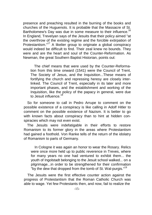presence and preaching resulted in the burning of the books and churches of the Huguenots. It is probable that the Massacre of St. Bartholomew's Day was due in some measure to their influence.<sup>16</sup> In England, Trevelyan says of the Jesuits that their policy aimed "at the overthrow of the existing regime and the forcible extirpation of Protestantism."<sup>17</sup> A likelier group to originate a global conspiracy would indeed be difficult to find. Their zeal knew no bounds. They were and are the heart and soul of the Counter-Reformation. As Newman, the great Southern Baptist Historian, points out:

The chief means that were used by the Counter-Reformation from this time onward (1541) were the Council of Trent, The Society of Jesus, and the Inquisition...These means of fortifying the church and repressing heresy are closely interlinked. The Council of Trent, especially in its later and more important phases, and the establishment and working of the Inquisition, like the policy of the papacy in general, were due to Jesuit influence 18

So for someone to call in Pedro Arrupe to comment on the possible existence of a conspiracy is like calling in Adolf Hitler to comment on the possible existence of Nazism. It is better to go with known facts about conspiracy than to hint at hidden conspiracies which may not even exist.

The Jesuits were indefatigable in their efforts to restore Romanism to its former glory in the areas where Protestantism had gained a foothold. Von Ranke tells of the return of the idolatry of Romanism to parts of Germany.

In Cologne it was again an honor to wear the Rosary. Relics were once more held up to public reverence in Treves, where for many years no one had ventured to exhibit them... the youth of Ingolstadt belonging to the Jesuit school walked... on a pilgrimage...in order to be strengthened for their confirmation "by the dew that dropped from the tomb of St. Wal-purgis."<sup>19</sup>

The Jesuits were the first effective counter action against the progress of Protestantism that the Roman Catholic Church was able to wage. Yet few Protestants then, and now, fail to realize the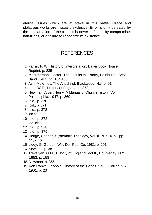eternal issues which are at stake in this battle. Grace and idolatrous works are mutually exclusive. Error is only defeated by the proclamation of the truth. It is never defeated by compromise, half-truths, or a failure to recognize its existence.

### **REFERENCES**

- 1. Farrar, F. W. History of Interpretation, Baker Book House, Reprint, p. 235
- 2. MacPherson, Hector, The Jesuits in History, Edinburgh, Scotland. 1914, pp. 104-105
- 3. Ash, McKinley, The Antichrist, Blackwood, N.J. p. 91
- 4. Lunt, W.E., History of England, p. 378
- 5. Newman, Albert Henry, A Manual of Church History, Vol. II, Philadelphia, 1947, p. 369
- 6. Ibid., p. 370
- 7. Ibid., p. 371
- 8. Ibid., p. 372
- 9. loc cit.
- 10. Ibid., p. 372
- 11. loc. cit
- 12. Ibid., p. 378
- 13. Ibid., p. 379
- 14. Hodge, Charles, Systematic Theology, Vol. Ill, N.Y. 1873, pp. 445-446
- 15. Liddy, G. Gordon, Will, Dell Pub. Co. 1981, p. 291
- 16. Newman, p. 381
- 17.Trevelyan, G.M., History of England, Vol II., Doubleday, N.Y. 1953, p. 158
- 18. Newman, p. 355
- 19. Von Ranke, Leopold, History of the Popes, Vol II, Collier, N.Y. 1901, p. 23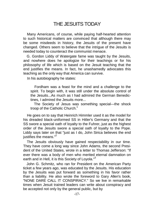# THE JESUITS TODAY

<span id="page-13-0"></span>Many Americans, of course, while paying half-hearted attention to such historical matters are convinced that although there may be some misdeeds in history, the Jesuits of the present have changed. Others seem to believe that the intrigue of the Jesuits is needed today to counteract the communist menace.

G. Gordon Liddy of Watergate fame was taught by the Jesuits, and nowhere does he apologize for their teachings or for his philosophy of life which is based on the Jesuit teaching that the end justifies the means. In fact, he unashamedly advocates this teaching as the only way that America can survive.

In his autobiography he states:

Fordham was a feast for the mind and a challenge to the spirit. To begin with, it was still under the absolute control of the Jesuits...As much as I had admired the German Benedictines, I admired the Jesuits more...

The Society of Jesus was something special—the shock troop of the Catholic Church.<sup>1</sup>

He goes on to say that Heinrich Himmler used it as the model for his dreaded black-uniformed SS in Hitler's Germany and that the SS swore a special oath of loyalty to the Fuhrer, just as the highest order of the Jesuits swore a special oath of loyalty to the Pope. Liddy says later on that "just as I do, John Sirica believes the end justifies the means."<sup>2</sup>

The Jesuits obviously have gained respectability in our time. They have come a long way since John Adams, the second President of the United States, wrote in a letter to Thomas Jefferson: "If ever there was a body of men who merited eternal damnation on earth and in Hell, it is this Society of Loyola."<sup>3</sup>

John G. Schmitz, who ran for President on the American Party ticket a few years ago, was educated by the Jesuits. His education by the Jesuits was put forward as something in his favor rather than a liability. He also wrote the foreword to Gary Allen's book, "NONE DARE CALL IT CONSPIRACY." So we live in remarkable times when Jesuit trained leaders can write about conspiracy and be accepted not only by the general public, but by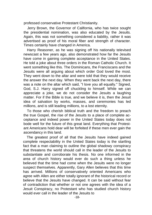professed conservative Protestant Christianity.

Jerry Brown, the Governor of California, who has twice sought the presidential nomination, was also educated by the Jesuits. Again, this was not something considered a liability, rather it was advertised as proof of his moral fiber and strength of character. Times certainly have changed in America.

Harry Reasoner, as he was signing off his nationally televised newscast a few years ago, also demonstrated how far the Jesuits have come in gaining complete acceptance in the United States. He told a joke about three orders in the Roman Catholic Church. It went something like this. The Dominicans, the Franciscans and the Jesuits were all arguing about which order God loved the most. They went down to the altar and were told that they would receive the answer the next day. When they went back the next day, there was a note on the altar which said, "I love you all equally." Signed, God, S.J. Harry signed off chuckling to himself. While we can appreciate a joke, we do not consider the Jesuits a laughing matter. For if the Bible is true, and we believe it is, then the Jesuit idea of salvation by works, masses, and ceremonies has led millions, and is still leading millions, to a lost eternity.

To those who cherish biblical truth and the freedom to preach the true Gospel, the rise of the Jesuits to a place of complete acceptance and indeed power in the United States today does not bode well for the future of this great land. Everything that Protestant Americans hold dear will be forfeited if these men ever gain the ascendancy in this land.

The greatest proof of all that the Jesuits have indeed gained complete respectability in the United States today is the startling fact that a man claiming to outline the global shadowy conspiracy that threatens the world should call in the leader of the Jesuits to substantiate and corroborate his thesis. No one informed in the area of church history would ever do such a thing unless he believed that the time had come when the Jesuits were no longer suspect themselves. Apparently, Gary Allen believes that this time has arrived. Millions of conservatively oriented Americans who agree with Allen are either totally ignorant of the historical record or believe that the Jesuits have changed. It can be said without fear of contradiction that whether or not one agrees with the idea of a Jesuit Conspiracy, no Protestant who has studied church history would ever call in the leader of the Jesuits to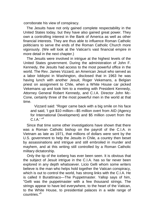corroborate his view of conspiracy.

The Jesuits have not only gained complete respectability in the United States today, but they have also gained great power. They own a controlling interest in the Bank of America as well as other financial interests. They are thus able to influence Roman Catholic politicians to serve the ends of the Roman Catholic Church more vigorously. (We will look at the Vatican's vast financial empire in more detail in the next chapter.)

The Jesuits were involved in intrigue at the highest levels of the United States government. During the administration of John F. Kennedy, the Jesuits had access to the most powerful office in the world. The Rev. James Vizzard, an American Jesuit who served as a labor lobbyist in Washington, disclosed that in 1963 he was having lunch with another Jesuit, Roger Vekemans, a Belgian priest on assignment to Chile, when a White House car picked Vekemans up and took him to a meeting with President Kennedy, Attorney General Robert Kennedy, and C.I.A. Director John Mc-Cone, certainly three of the most powerful men in the world at that time.

Vizzard said: "Roger came back with a big smile on his face and said, 'I got \$10 million—\$5 million overt from AID (Agency for International Development) and \$5 million covert from the  $C. I A<sup>1</sup>$  "4

Since that time some other investigations have shown that there was a Roman Catholic bishop on the payroll of the C.I.A. in Vietnam as late as 1971, that millions of dollars were sent by the U.S. government to help the Jesuits in Chile, a country then beset by assassinations and intrigue and still embroiled in murder and mayhem, and at this writing still controlled by a Roman Catholic military dictatorship.

Only the tip of the iceberg has ever been seen. It is obvious that the subject of Jesuit intrigue in the C.I.A. has so far never been explored in any depth whatsoever. Licio Gelli whom some writers believe is the man who helps hold together the Vatican conspiracy, which is out to control the world, has strong links with the C.I.A. He is called II Burattinaco—The Puppetmaster. Yallop says of him, "Gelli was the puppetmaster with a few thousand strings. The strings appear to have led everywhere, to the heart of the Vatican, to the White House, to presidential palaces in a wide range of countries.<sup>"5</sup>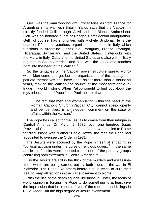Gelli was the man who bought Exocet Missiles from France for Argentina in its war with Britain. Yallop says that the Vatican indirectly funded Celli through Calvi and the Bianco Ambrosiano. Gelli was an honored guest at Reagan's presidential inauguration. Gelli, of course, has strong ties with Michele Sindona. He is the head of P2, the mysterious organization founded in Italy which functions in Argentina, Venezuela, Paraguay, France, Portugal, Nicaragua, Switzerland, and the United States. It interlocks with the Mafia in Italy, Cuba and the United States and also with military regimes in South America, and also with the C.I.A. and reaches right into the heart of the Vatican.<sup>6</sup>

So the tentacles of the Vatican power structure spread worldwide. Men come and go, but the organizations of the papacy perpetuate themselves and have done so for more than a thousand years, making the Vatican the source of the most formidable intrigue in world history. When Yallop sought to find out about the mysterious death of Pope John Paul, he said that:

The fact that men and women living within the heart of the Roman Catholic Church (Vatican City) cannot speak openly and be identified, is an eloquent comment on the state of affairs within the Vatican.<sup>7</sup>

The Pope has called for the Jesuits to cease from their intrigue in Central America. On March 2, 1982, over one hundred Jesuit Provincial Superiors, the leaders of the Order, were called to Rome for discussions with "Father" Paolo Dezza, the man the Pope had appointed to oversee the Order in 1981.

The Jesuits were accused by the Pope himself of engaging in "political activism under the guise of religious duties."<sup>8</sup> In the same article the Jesuits were reported to be "one of the primary groups controlling both extremes in Central America."<sup>9</sup>

So the Jesuits are still in the thick of the murders and assassinations which are being carried out by both sides in the war in El Salvador. The Pope, like others before him, is trying to curb their zeal to keep all factions in the war subservient to Rome.

With the rise of the death squads like those in Ulster, the focus of world opinion is forcing the Pope to do something to at least give the impression that he is not in favor of the murders and killings in El Salvador. But the high degree of Jesuit involvement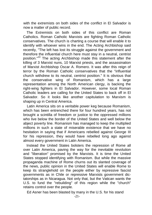with the extremists on both sides of the conflict in El Salvador is now a matter of public record.

The Extremists on both sides of this conflict are Roman Catholics. Roman Catholic Marxists are fighting Roman Catholic conservatives. The church is charting a course that will enable it to identify with whoever wins in the end. The Acting Archbishop said recently, "The left has lost its struggle against the government and therefore the influential church here must stay in a neutral, centrist position."<sup>10</sup> The acting Archbishop made this statement after the killing of 3 Marxist nuns, 10 Marxist priests, and the assassination of Marxist Archbishop Oscar A. Romero. It was after this reign of terror by the Roman Catholic conservatives that the "influential church withdrew to its neutral, centrist position." It is obvious that the conservative wing of Romanism, which has a large the conservative wing of Romanism, which has a large representation among the North American clergy, is backing the right-wing fighters in El Salvador. However, some local Roman Catholic leaders are calling for the United States to back off in El Salvador. So it looks like another capitulation to Marxism is shaping up in Central America.

Latin America sits on a veritable power keg because Romanism, which has been entrenched there for four hundred years, has not brought a scintilla of freedom or justice to the oppressed millions who live below the border of the United States and well below the abject poverty line. Romanism has managed to keep the multiplied millions in such a state of miserable existence that we have no hesitation in saying that if Americans rebelled against George III for his repression, they would have rebelled long ago against almost every government in Latin America.

Instead the United States bolsters the repression of Rome all over Latin America, paving the way for the inevitable revolution and "liberation" promised by the Marxists. It is time the United States stopped identifying with Romanism. But while the massive propaganda machine of Rome churns out its slanted coverage of the news, public opinion in the United States will enable Rome to keep its stranglehold on the people either by repressive fascist governments as in Chile or repressive Marxists government dictatorships as in Nicaragua. Not only that, but the Vatican wants the U.S. to fund the "rebuilding" of this region while the "church" retains control over the people.

Ed Asner has been blasted by many in the U.S. for his stand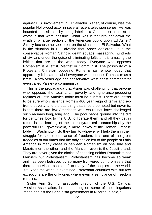against U.S. involvement in El Salvador. Asner, of course, was the popular Hollywood actor in several recent television series. He was hounded into silence by being labelled a Communist or leftist or worse if that were possible. What was it that brought down the wrath of a large section of the American public upon Ed Asner? Simply because he spoke out on the situation in El Salvador. What is the situation in El Salvador that Asner deplores? It is the conservative Roman Catholic death squads massacring hundreds of civilians under the guise of eliminating leftists. It is amazing the leftists that are in the world today. Everyone who opposes Romanism is a leftist, Marxist or Communist. The possibility of a Protestant Christian opposing Rome is so remote today that apparently it is safe to label everyone who opposes Romanism as a leftist. (A few years ago one conservative west coast commentator even called Paisley a communist.)

This is the propaganda that Asner was challenging, that anyone who opposes the totalitarian poverty and ignorance-producing regimes of Latin America today must be a leftist. There are leftists to be sure who challenge Rome's 400 year reign of terror and extreme poverty, and the sad thing that should be noted but never is, is that there are few Americans who would not have challenged such regimes long, long ago!! The poor peons ground into the dirt for centuries look to the U.S. to liberate them, and all they get in return is the backing of the rotten tyrannical dictatorships by the powerful U.S. government, a mere lackey of the Roman Catholic lobby in Washington. So they turn to whoever will help them in their struggle for some semblance of freedom. It is one of the great tragedies of our times that the only choice left to the people of Latin America in many cases is between Romanism on one side and Marxism on the other, and the Marxism even is the Jesuit brand. They are never given the choice of choosing neither Romanism nor Marxism but Protestantism. Protestantism has become so weak and has been betrayed by so many lily-livered compromisers that there is no viable choice left to many of the peoples of the world. Yet when the world is examined, Protestant countries with but few exceptions are the only ones where even a semblance of freedom remains.

Sister Ann Gormly, associate director of the U.S. Catholic Mission Association, in commenting on some of the allegations made against the Sandinista government in Nicaragua said, "I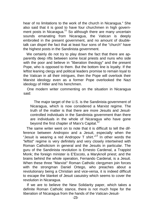hear of no limitations to the work of the church in Nicaragua." She also said that it is good to have four churchmen in high government posts in Nicaragua.<sup>11</sup> So although there are many uncertain sounds emanating from Nicaragua, the Vatican is deeply embroiled in the present government, and no amount of doubletalk can dispel the fact that at least four sons of the "church" have the highest posts in the Sandinista government.

We certainly do not try to play down the fact that there are apparently deep rifts between some local priests and nuns who side with the poor and believe in "liberation theology" and the present Pope, who is opposed to them. But the bottom line is loyalty. If the leftist leaning clergy and political leaders promise to remain loyal to the Vatican in all their intrigues, then the Pope will overlook their Marxist ideology even as a former Pope overlooked the Nazi ideology of Hitler and his henchmen.

One modern writer commenting on the situation in Nicaragua said:

The major target of the U.S. is the Sandinista government of Nicaragua, which is now considered a Marxist regime. The truth of the matter is that there are more Jesuits and Jesuitcontrolled individuals in the Sandinista government than there are individuals in the whole of Nicaragua who have gone beyond the first chapter of Marx's Capital.<sup>12</sup>

The same writer went on to note that it is difficult to tell the difference between Andropov and a Jesuit, especially when the "Jesuit is wearing a red Andropov T shirt."<sup>13</sup> In other words the "leftist" regime is very definitely and very closely intertwined with Roman Catholicism in general and the Jesuits in particular. The guru of the Sandinista revolution is Ernesto Cardenal, a Trappist Monk; the foreign minister is E'Escoto, a Maryknoll priest; and the brains behind the whole operation, Fernando Cardenal, is a Jesuit. When these three "Marxist" Roman Catholic clergymen join forces with the strongman Daniel Ortego, who preaches about a revolutionary being a Christian and vice-versa, it is indeed difficult to escape the blanket of Jesuit casuistry which seems to cover the revolution in Nicaragua.

If we are to believe the New Solidarity paper, which takes a definite Roman Catholic stance, there is not much hope for the liberation of Nicaragua from the hands of the Vatican-Jesuit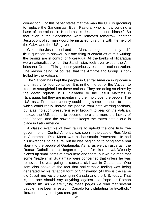connection. For this paper states that the man the U.S. is grooming to replace the Sandinistas, Eden Pastora, who is now building a base of operations in Honduras, is Jesuit-controlled himself. So that even if the Sandinistas were removed tomorrow, another Jesuit-controlled man would be installed, this time with the help of the C.I.A. and the U.S. government.

Where the Jesuits end and the Marxists begin is certainly a difficult question to answer, but one thing is certain as of this writing: the Jesuits are in control of Nicaragua. All the banks of Nicaragua were nationalized when the Sandinistas took over except the Ambriosano Group. This group mysteriously escaped nationalization. The reason being, of course, that the Ambrosiano Group is controlled by the Vatican.

The Vatican has kept the people in Central America in ignorance and misery for four centuries. It is in the interest of the Vatican to keep its stranglehold on these nations. They are doing so either by the death squads in El Salvador or the Jesuit Marxists in Nicaragua, but they are maintaining their hold over the people. The U.S. as a Protestant country could bring some pressure to bear, which could really liberate the people from both warring factions, but alas, no such pressure is ever brought to bear on the Vatican. Instead the U.S. seems to become more and more the lackey of the Vatican, and the power that keeps the rotten status quo in place in Latin America.

A classic example of their failure to uphold the one truly free government in Central America was seen in the case of Rios Montt in Guatamala. Rios Montt was a charismatic Protestant. He had his limitations, to be sure, but he was beginning to bring some real liberty to the people of Guatamala. As far as we can ascertain the Roman Catholic church began to agitate for his removal. We only picked up small items of news here and there, but we did read that some "leaders" in Guatamala were concerned that unless he was removed, he was going to cause a civil war in Guatamala. One item also spoke of the fact that anti-catholic feeling was being generated by his fanatical form of Christianity. (All this is the same old Jesuit line we are seeing in Canada and the U.S. tdoay. That is, no one should say anything against the Pope or Roman Catholicism. As we are typing these pages we read that several people have been arrested in Canada for distributing "anti-catholic" literature. Imagine, if you can, get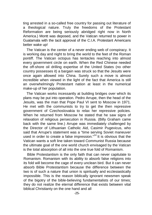ting arrested in a so-called free country for passing out literature of a theological nature. Truly the freedoms of the Protestant Reformation are being seriously abridged right now in North America.) Montt was deposed, and the Vatican returned to power in Guatamala with the tacit approval of the C.I.A. Protestant Americans better wake up!

The Vatican is the center of a never ending web of conspiracy. It is working day and night to bring the world to the feet of the Roman pontiff. The Vatican octopus has tentacles reaching into almost every government circle on earth. When the Red Chinese needed the off-shore oil drilling expertise of the United States (no other country possesses it) a bargain was struck so that the Jesuits were once again allowed into China. Surely such a move is almost incredible when viewed in the light of the fact that America is still an overwhelmingly Protestant nation at least in the numerical make-up of her population.

The Vatican works incessantly at building bridges over which its plans may be put into operation. Pedro Arrupe, then the head of the Jesuits, was the man that Pope Paul VI sent to Moscow in 1971. He met with the communists to try to get the then repressive government of Czechoslovakia to relax her repressive policies. When he returned from Moscow he stated that he saw signs of relaxation of religious persecution in Russia. (Billy Graham came back with the same line.) Arrupe was immediately challenged by the Director of Lithuanian Catholic Aid, Casimir Pugevicus, who said that Arrupe's statement was a "time serving Soviet maneuver used in order to create a false impression."<sup>14</sup> It is obvious that the Vatican wants a soft line taken toward Communist Russia because the ultimate goal of the one world church envisaged by the Vatican is the total absorption of all into the one true fold of Romanism.

Bible Protestantism is the only faith that can never capitulate to Romanism. Romanism with its ability to absorb false religions into its fold will become the cage of every unclean bird. But it can never absorb Bible Protestantism because the difference between the two is of such a nature that union is spiritually and ecclesiastically impossible. This is the reason biblically ignorant newsmen speak of the bigotry of the bible-believing fundamentalists of our times; they do not realize the eternal difference that exists between vital biblical Christianty on the one hand and all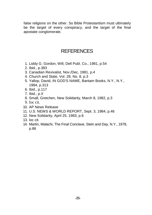false religions on the other. So Bible Protestantism must ultimately be the target of every conspiracy, and the target of the final apostate conglomerate.

#### **REFERENCES**

- 1. Liddy G. Gordon, Will, Dell Publ. Co., 1981, p.54
- 2. Ibid., p.383
- 3. Canadian Revivalist, Nov./Dec, 1981, p.4
- 4. Church and State, Vol. 28, No. 8, p.3
- 5. Yallop, David, IN GOD'S NAME, Bantam Books, N.Y., N.Y., 1984, p.313
- 6. Ibid., p.117
- 7. Ibid., p.X
- 8. Small, Gretchen, New Solidarity, March 8, 1982, p.3
- 9. Ioc cit.
- 10. AP News Release
- 11. U.S. NEWS & WORLD REPORT, Sept. 3, 1984, p.46
- 12. New Solidarity, April 25, 1983, p.6
- 13. loc cit.
- 14. Martin, Malachi, The Final Conclave, Stein and Day, N.Y., 1978, p.86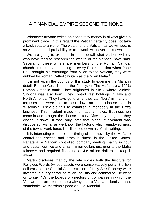### <span id="page-23-0"></span>A FINANCIAL EMPIRE SECOND TO NONE

Whenever anyone writes on conspiracy money is always given a prominent place. In this regard the Vatican certainly does not take a back seat to anyone. The wealth of the Vatican, as we will see, is so vast that in all probability its true worth will never be known.

We are going to examine in some detail what various writers, who have tried to research the wealth of the Vatican, have said. Several of these writers are members of the Roman Catholic church. It is surely interesting to every Protestant that when Pope Paul brought his entourage from Milan to the Vatican, they were dubbed by Roman Catholic writers as the Milan Mafia.<sup>1</sup>

It is not within the bounds of this study to examine the Mafia in detail. But the Cosa Nostra, the Family, or The Mafia are a 100% Roman Catholic outfit. They originated in Sicily where Michele Sindona was also born. They control vast holdings in Italy and North America. They have gone what they call "legit" in many enterprises and were able to close down an entire cheese plant in Wisconsin. They did this to establish a monopoly in the Pizza business. This incident made the national news. Businessmen came in and brought the cheese factory. After they bought it, they closed it down. It was only later that Mafia involvement was discovered. As far as we know, the factory, which employed most of the town's work force, is still closed down as of this writing.

It is interesting to notice the timing of the move by the Mafia to control the cheese and pizza business in the United States. Panatella, a Vatican controlled company dealing mainly in flour and pasta, lost two and a half million dollars just prior to the Mafia takeover and required financing of 4.8 million dollars to keep it afloat.

Martin discloses that by the late sixties both the Institute for Religious Words (whose assets were conservatively put at 3 billion dollars) and the Special Administration of Holy See Property were invested in every sector of Italian industry and commerce. He went on to say, "On the boards of directors of companies in which the Vatican had an interest there always sat a Vatican ' family ' man, somebody like Massimo Spada or Luigi Mennini."<sup>2</sup>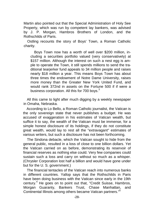Martin also pointed out that the Special Administration of Holy See Property, which was run by competent lay bankers, was advised by J. P. Morgan, Hambros Brothers of London, and the Rothschilds of Paris.

Ostling recounts the story of Boys' Town, a Roman Catholic charity.

Boys Town now has a worth of well over \$200 million, including a securities portfolio valued (very conservatively) at \$157 million. Although the interest on such a nest egg is ample to operate the Town, it still spends millions to send the traditional tearjerker fund appeals to 34 million people and raises nearly \$18 million a year. This means Boys Town has about three times the endowment of Notre Dame University, raises more money than the Greater New York United Fund, and would rank 372nd in assets on the Fortune 500 if if were a business corporation. All this for 700 bovs.<sup>3</sup>

All this came to light after much digging by a weekly newspaper in Omaha, Nebraska.

According to Lo Bello, a Roman Catholic journalist, the Vatican is the only sovereign state that never publishes a budget. He was accused of exaggeration in his estimates of Vatican wealth, but suffice it to say, the wealth of the Vatican must be immense, for a simple honest disclosure of its holdings, if they do not constitute great wealth, would lay to rest all the "extravagant" estimates of various writers, but such a disclosure has not been forthcoming.

The Sindona debacle, which the Vatican sought to hide from the general public, resulted in a loss of close to one billion dollars. Yet the Vatican carried on as before, demonstrating its reservoir of financial reserves as nothing else could. Very few companies could sustain such a loss and carry on without so much as a whisper. (Chrysler Corporation lost half a billion and would have gone under but for the U. S. government.)

The financial tentacles of the Vatican reach into numerous banks in different countries. Yallop says that the Rothschilds in Paris have been doing business with the Vatican since early in the 19th century.<sup>4</sup> He goes on to point out that, "Credit Suisse, Hambros, Morgan Guaranty, Bankers Trust, Chase Manhattan, and Continental Illinois among others became Vatican partners."<sup>5</sup>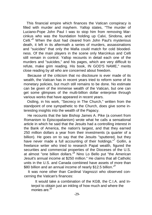This financial empire which finances the Vatican conspiracy is filled with murder and mayhem. Yallop states, "The murder of Luciano-Pope John Paul I was to stop him from removing Marcinkus who was the foundation holding up Calvi, Sindona, and Celli.<sup>"6</sup> When the dust had cleared from John Paul's mysterious death, it left in its aftermath a series of murders, assassinations and "suicides" that only the Mafia could match for cold bloodedness. Of the main players in the scene only Marcinkus and Celli still remain in control. Yallop recounts in detail each one of the murders and "suicides," and his pages, which are very difficult to refute, make grim reading. His book, IN GOD'S NAME," merits close reading by all who are concerned about freedom.

Because of the criticism that no disclosure is ever made of its wealth, the Vatican has in recent years tried to reform some of its monetary policies, but much still remains to be done. No estimate can be given of the immense wealth of the Vatican, but one can get some glimpses of the multi-billion dollar enterprise through various works that have appeared in recent years.

Ostling, in his work, "Secrecy in The Church," written from the standpoint of one sympathetic to the Church, does give some interesting insights into the wealth of the Papacy.

He recounts that the late Bishop James A. Pike (a convert from Romanism to Episcopalianism) wrote what he calls a sensational article in which he said that the Jesuits had a controlling interest in the Bank of America, the nation's largest, and that they earned 250 million dollars a year from their investments (a quarter of a billion). He goes on to say that the Jesuits "sputtered, but they have never made a full accounting of their holdings."7 Gollin, a freelance writer who tried to research Papal wealth, figured the securities and commercial properties of the Dioceses of the U.S. at almost "one billion dollars."<sup>8</sup> Nino Lo Bello put "the American Jesuit's annual income at \$250 million." He claims that all Catholic units in the U.S. and Canada combined have assets of more than \$80 billion and an annual income of nearly \$12.5 billion."<sup>9</sup>

It was none other than Cardinal Vagnozzi who observed concerning the Vatican's finances:

It would take a combination of the KGB, the C.I.A. and Interpol to obtain just an inkling of how much and where the monies are.<sup>10</sup>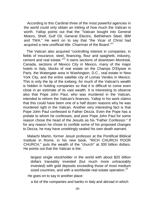According to this Cardinal three of the most powerful agencies in the world could only obtain an inkling of how much the Vatican is worth. Yallop points out that the "Vatican bought into General Motors, Shell, Gulf Oil, General Electric, Bethlehem Steel, IBM and TWA." He went on to say that "the Vicar of Christ had acquired a new unofficial title: Chairman of the Board."<sup>11</sup>

The Vatican also acquired "controlling interest in companies, in fields of insurance, steel, financing, flour and spaghetti, industry, cement and real estate."<sup>12</sup> It owns sections of downtown Montreal, Canada, sections of Mexico City in Mexico, many of the major hotels in Italy, blocks of real estate on the Champs D'Elysee in Paris, the Watergate area in Washington, D.C., real estate in New York City, and the entire satellite city of Lomas Verdes in Mexico. This is only the tip of the iceberg, for much of the Vatican's wealth is hidden in holding companies so that it is difficult to come even close in an estimate of its vast wealth. It is interesting to observe also that Pope John Paul, who was murdered in the Vatican, intended to reform the Vatican's finances. Yallop in his work claims that this could have been one of a half dozen reasons why he was murdered right in the Vatican. Another very interesting fact is that Pope John Paul confessed to Father Dezza. Even the Pope has a prelate to whom he confesses, and poor Pope John Paul for some reason chose the head of the Jesuits as his "Father Confessor." If for any reason he chose to confide some of his proposed changes to Dezza, he may have unwittingly sealed his own death warrant.

Malachi Martin, former Jesuit professor at the Pontifical Biblical Institute in Rome, in his new book, "RICH CHURCH POOR CHURCH," puts the wealth of the "church" at 300 billion dollars. He points out that the Vatican is the:

largest single stockholder in the world with about \$20 billion dollars traceably invested (but much more untraceably invested) with gold deposits exceeding those of most medium sized countries, and with a worldwide real estate operation.<sup>13</sup>

He goes on to say in another place:

a list of the companies and banks in Italy and abroad in which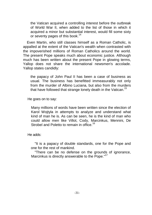the Vatican acquired a controlling interest before the outbreak of World War II, when added to the list of those in which it acquired a minor but substantial interest, would fill some sixty or seventy pages of this book.<sup>14</sup>

Even Martin, who still classes himself as a Roman Catholic, is appalled at the extent of the Vatican's wealth when contrasted with the impoverished millions of Roman Catholics around the world. The present Pope speaks much about economic justice. Although much has been written about the present Pope in glowing terms, Yallop does not share the international newsmen's accolade. Yallop states candidly:

the papacy of John Paul II has been a case of business as usual. The business has benefitted immeasurably not only from the murder of Albino Luciana, but also from the murders that have followed that strange lonely death in the Vatican.<sup>15</sup>

He goes on to say:

Many millions of words have been written since the election of Karol Wojtyla in attempts to analyze and understand what kind of man he is. As can be seen, he is the kind of man who could allow men like Villot, Cody, Marcinkus, Mennini, De Strobel and Poletto to remain in office.<sup>16</sup>

He adds:

"It is a papacy of double standards, one for the Pope and one for the rest of mankind.

"There can be no defense on the grounds of ignorance, Marcinkus is directly answerable to the Pope."<sup>17</sup>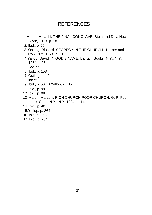#### **REFERENCES**

- I.Martin, Malachi, THE FINAL CONCLAVE, Stein and Day, New York, 1978. p. 18
- 2. Ibid., p. 26
- 3. Ostling, Richard, SECRECY IN THE CHURCH, Harper and Row, N.Y. 1974, p. 51
- 4.Yallop, David, IN GOD'S NAME, Bantam Books, N.Y., N.Y. 1984, p 97
- 5. loc. cit.
- 6. Ibid., p. 103
- 7. Ostling, p. 49
- 8. loc.cit.
- 9. Ibid., p. 50 10.Yallop,p. 105
- 11. Ibid., p. 99
- 12. Ibid., p. 98
- 13. Martin, Malachi, RICH CHURCH POOR CHURCH, G. P. Putnam's Sons, N.Y., N.Y. 1984, p. 14
- 14. Ibid., p. 40
- 15.Yallop, p. 264
- 16. Ibid, p. 265
- 17. Ibid., p. 264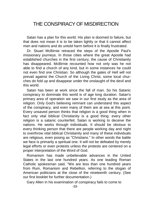#### <span id="page-29-0"></span>THE CONSPIRACY OF MISDIRECTION

Satan has a plan for this world. His plan is doomed to failure, but that does not mean it is to be taken lightly or that it cannot affect men and nations and do untold harm before it is finally frustrated.

Dr. Stuart McBirnie retraced the steps of the Apostle Paul's missionary journeys. In those cities where the great Apostle had established churches in the first century, the cause of Christianity has disappeared. McBirnie recounted how not only was he not able to find a church of any kind, but in some instances he could not even find one Christian. So although the gates of Hell will not prevail against the Church of the Living Christ, some local churches do fold up and disappear under the onslaught of the devil and this world.

Satan has been at work since the fall of man. So his Satanic conspiracy to dominate this world is of age long duration. Satan's primary area of operation we saw in our first study as the area of religion. Only God's believing remnant can understand this aspect of the conspiracy, and even many of them are at sea at this point. Every unsaved person thinks that religion is a good thing when in fact only vital biblical Christianity is a good thing: every other religion is a satanic counterfeit. Satan is working to deceive the nations. He works through individuals. It should be obvious to every thinking person that there are people working day and night to overthrow vital biblical Christianity and many of these individuals are religious, even posing as "Christians." In other words the battle we face is primarily a spiritual one. It will not be defeated by merely legal efforts or even protests unless the protests are centered on a proper interpretation of the Word of God.

Romanism has made unbelievable advances in the United States in the last one hundred years. As one leading Roman Catholic spokesman said, "We are less than one hundred years from Rum, Romanism and Rebellion, referring to the slogan of American politicians at the close of the nineteenth century. (See our first booklet for further documentation.)

Gary Allen in his examination of conspiracy fails to come to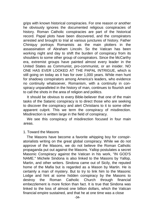grips with known historical conspiracies. For one reason or another he obviously ignores the documented religious conspiracies of history. Roman Catholic conspiracies are part of the historical record. Papal plots have been discovered, and the conspirators arrested and brought to trial at various junctures of history. Father Chiniquy portrays Romanists as the main plotters in the assassination of Abraham Lincoln. So the Vatican has been working night and day to shift the burden of conspiracy from its shoulders to some other group of conspirators. Since the McCarthy era, extremist groups have painted almost every leader in the United States as Communist, pro-communist, or an insider. NO ONE HAS EVER LOOKED AT THE PAPAL INTRIGUE, which is still going on today as it has for over 1,000 years. While men hunt for shadowy conspirators among America's leaders, who evidence no continuity whatsoever, Romanism, with a continuity in conspiracy unparalleled in the history of man, continues to flourish and to call the shots in the area of religion and politics.

It should be obvious to every Bible-believer that one of the main tasks of the Satanic conspiracy is to direct those who are seeking to discover the conspiracy and alert Christians to it to some other apparent culprit. This we term the conspiracy of misdirection. Misdirection is written large in the field of conspiracy.

We see this conspiracy of misdirection focused in four main areas.

#### 1. Toward the Masons

The Masons have become a favorite whipping boy for conspiratorialists writing on the great global conspiracy. While we do not approve of the Masons, we do not believe the Roman Catholic propaganda put out against the Masons. Yallop postulates a secret Masonic Conspiracy against the Vatican in his work, "IN GOD'S NAME." Michele Sindona is also linked to the Masons by Yallop, Martin, and other writers. Sindona came out of Sicily, the reputed home of the Mafia but is regarded as a Mason by Martin. He is certainly a man of mystery. But to try to link him to the Masonic Lodge and hint at some hidden conspiracy by the Masons to destroy the Roman Catholic Church through financial embezzlement is more fiction than fact. It is true that Sindona was linked to the loss of almost one billion dollars, which the Vatican financial empire sustained, and that he at one time was a close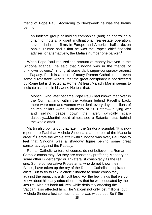friend of Pope Paul. According to Newsweek he was the brains behind

an intricate group of holding companies (and) he controlled a chain of hotels, a giant multinational real-estate operation, several industrial firms in Europe and America, half a dozen banks. Rumor had it that he was the Pope's chief financial adviser, or alternatively, the Mafia's number one banker.<sup>1</sup>

When Pope Paul realized the amount of money involved in the Sindona scandal, he said that Sindona was in the "hands of unknown powers," hinting at some dark super-conspiracy against the Papacy. For it is a belief of many Roman Catholics and even some "Protestant" writers, that the great conspiracy is not directed by Rome but is directed at Rome. At least Malachi Martin seems to indicate as much in his work. He tells that:

Montini (who later became Pope Paul) had known that over in the Quirinal...and within the Vatican behind Pacelli's back, there were men and women who dealt every day in millions of church dollars —the "Patrimony of St. Peter"— buying war and selling peace down the river, cynically scandalously....Montini could almost see a Satanic rictus behind the whole affair. $^2$ 

Martin also points out that late in the Sindona scandal, "It is now reported to Paul that Michele Sindona is a member of the Masonic order."<sup>3</sup> Before the whole affair with Sindona was over, Paul was to feel that Sindona was a shadowy figure behind some great conspiracy against the Papacy.

Roman Catholic writers, of course, do not believe in a Roman Catholic conspiracy. So they are constantly proffering Masonry or some other Bilderberger or Tri-lateralist conspiracy as the real one. Some conservative Protestants, who do not know their Bibles, have taken up the cry of the Roman Catholic conspiratorialists. But to try to link Michele Sindona to some conspiracy against the papacy is a difficult task. For the few things that we do know about his early education show that he was educated by the Jesuits. Also his bank failures, while definitely affecting the Vatican, also affected him. The Vatican not only lost millions, but Michele Sindona lost so much that he was wiped out. So if Sin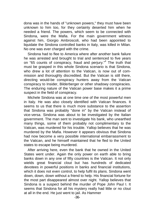dona was in the hands of "unknown powers," they must have been unknown to him too, for they certainly deserted him when he needed a friend. The powers, which seem to be connected with Sindona, were the Mafia. For the main government witness against him, Giorgio Ambroscoli, who had been appointed to liquidate the Sindona controlled banks in Italy, was killed in Milan. No one was ever charged with the crime.

Sindona had to flee to America where after another bank failure he was arrested and brought to trial and sentenced to five years on "65 counts of conspiracy, fraud and perjury."<sup>4</sup> The truth that must be grasped in this whole Sindona scenario is that Sindona, who drew a lot of attention to the Vatican, is now out of commission and thoroughly discredited. But the Vatican is still there, directing would-be conspiracy hunters away from the Vatican conspiracy to Insider, Bilderberger or other shadowy conspiracies. The enduring nature of the Vatican power base makes it a prime suspect in the field of conspiracy.

Michele Sindona was at one time one of the most powerful men in Italy. He was also closely identified with Vatican finances. It seems to us that there is much more substance to the assertion that Sindona was probably "done in" by the Vatican instead of vice-versa. Sindona was about to be investigated by the Italian government. The man sent to investigate his bank, who unearthed many things, some of them probably not complimentary to the Vatican, was murdered for his trouble. Yallop believes that he was murdered by the Mafia. However it appears obvious that Sindona had now become a very possible international embarrassment to the Vatican, and he himself maintained that he fled to the United states to escape being murdered.

After arriving here, even the bank that he owned in the United States went under. Again the only power on earth able to bring banks down in any one of fifty countries is the Vatican. It not only wields great financial clout but has hundreds of dedicated devotees in powerful positions in banks and financial institutions, which it does not even control, to help fulfil its plans. Sindona went down, down, down without a friend to help. His financial fortune for the most part disappeared almost over night. Yallop believes that Sindona is a suspect behind the murder of Pope John Paul I. It seems that Sindona for all his mystery really had little or no clout at all in the end. He just went to jail. As Hammer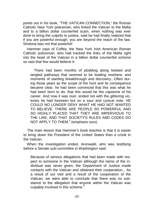points out in his book, "THE VATICAN CONNECTION," the Roman Catholic New York policeman, who linked the Vatican to the Mafia and to a billion dollar counterfeit scam, when nothing was ever done to bring the culprits to justice, said he had finally realized that if you are powerful enough, you are beyond the reach of the law. Sindona was not that powerful!

Hammer says of Coffey, the New York Irish American Roman Catholic policeman, who had tracked the links of the Mafia right into the heart of the Vatican in a billion dollar counterfeit scheme so vast that few would believe it:

There had been months of plodding along twisted and tangled pathways that seemed to be leading nowhere, and moments of startling breakthrough and discovery...Often during those years as the scope of the hunt and its consequence became clear, he had been convinced that this was what he had been born to do, that this would be the capstone of his career. And now it was over, ended not with the glittering victories he had foreseen but on a sour and cynical note. HE COULD NO LONGER DENY WHAT HE HAD NOT WANTED TO BELIEVE: THERE ARE PEOPLE SO POWERFUL AND SO HIGHLY PLACED THAT THEY ARE IMPERVIOUS TO THE LAW, AND THAT SOCIETY'S RULES AND CODES DO NOT APPLY TO THEM.<sup>5</sup> (emphasis ours)

The main lesson that Hammer's book teaches is that it is easier to bring down the President of the United States than a crook in the Vatican.

When the investigation ended, Aronwald, who was testifying before a Senate sub-committee in Washington said:

Because of serious allegations that had been made with respect to someone in the Vatican although the name of the individual was never given, the Department of Justice made contacts with the Vatican and obtained their cooperation... As a result of our visit and a result of the cooperation of the Vatican, we were able to conclude that there was no substance to the allegation that anyone within the Vatican was cuipably involved in this scheme.<sup>6</sup>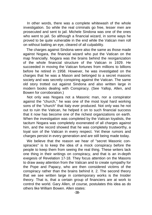In other words, there was a complete whitewash of the whole investigation. So while the real criminals go free, lesser men are prosecuted and sent to jail. Michele Sindona was one of the ones who went to jail. So although a financial wizard, in some ways he proved to be quite vulnerable in the end while the Vatican men roll on without batting an eye, cleared of all culpability.

The charges against Sindona were also the same as those made against Nogara, the financial wizard who put the Vatican on the map financially. Nogara was the brains behind the reorganization of the whole financial structure of the Vatican in 1929. He succeeded in moving the Vatican fortunes from millions to billions before he retired in 1958. However, he was investigated on the charges that he was a Mason and belonged to a secret masonic society and was secretly conspiring against the Vatican. The same old story trotted out against Sindona and also written large in modern books dealing with Conspiracy. (See Yallop, Allen, and Bowen for corroboration.)

Not only was Nogara not a Masonic man, nor a conspirator against the "church," he was one of the most loyal hard working sons of the "church" that Italy ever produced. Not only was he not out to ruin the Vatican, he helped it on to such financial success that it now has become one of the richest organizations on earth. When the investigation was completed by the Vatican loyalists, the taciturn Nogara was completely exonerated of all charges against him, and the record showed that he was completely trustworthy, a loyal son of the Vatican in every respect. Yet these rumors and charges persist in every generation and are still being made today.

We believe that the reason we hear of "secret Masonic conspiracies" is to keep the idea of a mock conspiracy before the people to keep them from seeing the real thing. These writers lack one thing in their writings on conspiracy, and that is an in-depth exegesis of Revelation 17-18. They focus attention on the Masons to draw away attention from the Vatican and to create sympathy for the Pope and Papacy, who are then considered victims of the conspiracy rather than the brains behind it. 2. The second theory that we see written large in contemporary works is the Insider theory. That is, that a certain group of financiers are at work to control the world. Gary Allen, of course, postulates this idea as do others like William Bowen. Allen states: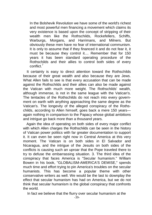In the Bolshevik Revolution we have some of the world's richest and most powerful men financing a movement which claims its very existence is based upon the concept of stripping of their wealth men like the Rothschilds, Rockefellers, Schiffs, Warburgs, Morgans, and Harrimans, and Milners. But obviously these men have no fear of international communism. It is only to assume that if they financed it and do not fear it, it must be because they control it.... Remember that for 150 years it has been standard operating procedure of the Rothschilds and their allies to control both sides of every conflict<sup>7</sup>

It certainly is easy to direct attention toward the Rothschilds because of their great wealth and also because they are Jews. What Allen fails to see is that every accusation that can be made against the Rothschilds and their allies can also be made against the Vatican with much more weight. The Rothschilds' wealth, although immense, is not in the same league with the Vatican's. The tentacles of the Rothschilds do not reach into every government on earth with anything approaching the same degree as the Vatican's. The longevity of the alleged conspiracy of the Rothschilds, according to Allen himself, goes back a mere 150 years again nothing in comparison to the Papacy whose global ambitions and intrigue go back more than a thousand years.

Again the idea of operating on both sides of every major conflict with which Allen charges the Rothschilds can be seen in the history of Vatican power politics with far greater documentation to support it. It can even be seen right now in Central America at this very moment. The Vatican is on both sides in El Salvador and Nicaragua, and the intrigue of the Jesuits on both sides of the conflicts is causing such an uproar that the Pope traveled there to try to defuse the embarrassing situation. 3. The third idea of the conspiracy that faces America is "Secular humanism." William Bowen in his book, "GLOBALISM-AMERICA'S DEMISE," spends much time and effort trying to pin America's troubles on the secular humanists. This has become a popular theme with other conservative writers as well. We would be the last to downplay the effect that secular humanism has had on America, but we do not think that secular humanism is the global conspiracy that confronts the world.

In fact we believe that the flurry over secular humanism at the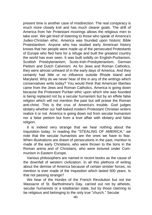present time is another case of misdirection. The real conspiracy is much more closely knit and has much clearer goals. The drift of America from her Protestant moorings allows the religious men to take over. We get tired of listening to those who speak of America's Judeo-Christian ethic. America was founded upon historic Bible Protestantism. Anyone who has studied early American history knows that her people were made up of the persecuted Protestants of Europe who fled here for a refuge and built the greatest country the world has ever seen. It was built solidly on English-Puritanism, Scottish Presbyterianism, Scots-lrish-Presbyterianism, German Pietism and Dutch Calvinism. As for Jews and Roman Catholics, they were almost unheard of in the early days of America. And they certainly had little or no influence outside Rhode Island and Maryland. Why do we never hear of this in any of the writings which conservatives write today? You would think that American liberties came from the Jews and Roman Catholics. America is going down because the Protestant Puritan ethic upon which she was founded is being replaced not by a secular humanism but by an effete false religion which will not mention the past but will praise the Roman anti-christ. This is the crux of America's trouble. God judges idolatry whether our half-baked modern Protestant Christian writers realize it or not. America is going down not from secular humanism nor a false pietism but from a love affair with idolatry and false religion.

It is indeed very strange that we hear nothing about the Inquisition today. In reading the "STEALING OF AMERICA," we note that the secular humanists are the ones we have to fear. When illustrations are drawn of persecutions in the past, mention is made of the early Christians, who were thrown to the lions in the Roman arena and of Christians, who were tortured under Communism in Eastern Europe.

Various philosophers are named in recent books as the cause of the downfall of western civilization. In all this plethora of writing about the demise of America because of certain sinister forces, no mention is ever made of the Inquisition which lasted 500 years. Is that not passing strange?

We hear of the Hordes of the French Revolution but not tne Massacre of St. Bartholmew's Day, carried out not by atheists, secular humanists or a totalitarian state, but by those claiming to be religious and belonging to the only true "church." Secular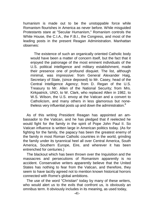humanism is made out to be the unstoppable force while Romanism flourishes in America as never before. While misguided Protestants stare at "Secular Humanism," Romanism controls the White House, the C.I.A., the F.B.I., the Congress, and most of the leading posts in the present Reagan Administration. Manhattan observes:

The existence of such an organically oriented Catholic body would have been a matter of concern itself, but the fact that it enjoyed the patronage of the most eminent individuals of the U.S. political intelligence and military establishment, made their presence one of profound disquiet. The list, although minimal, was impressive: from General Alexander Haig, Secretary of State, (since deposed) to Mr. Casey, head of the Central Intelligence Agency; from D. Regan of the U.S. Treasury to Mr. Allen of the National Security; from Mrs. Kirkpatrick, UNO, to W. Clark, who replaced Allen in 1982, to W.S. Wilson, the U.S. envoy at the Vatican and a convert to Catholicism, and many others in less glamorous but nonetheless very influential posts up and down the administration.<sup>8</sup>

As of this writing President Reagan has appointed an ambassador to the Vatican, and he has pledged that if reelected he would fight for the family in the spirit of Pope John Paul II. So Vatican influence is written large in American politics today. (As for fighting for the family, the papacy has been the greatest enemy of the family in most Roman Catholic countries in the world, grinding the family under its tyrannical heel all over Central America, South America, Southern Europe, Eire, and wherever it has been entrenched for centuries.)

The blackout which has been thrown over the Inquisition and the massacres and persecutions of Romanism apparently is no accident. Conservative writers apparently believe that the United States has nothing to fear from the Vatican, and therefore, they seem to have tacitly agreed not to mention known historical horrors connected with Rome's global ambitions.

The use of the word "Christian" today by many of these writers, who would alert us to the evils that confront us, is obviously an omnibus term. It obviously includes in its meaning, as used today,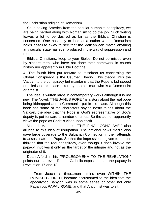the unchristian religion of Romanism.

So in saving America from the secular humanist conspiracy, we are being herded along with Romanism to do the job. Such writing leaves a lot to be desired as far as the Biblical Christian is concerned. One has only to look at a nation where Romanism holds absolute sway to see that the Vatican can match anything any secular state has ever produced in the way of suppression and more.

Biblical Christians, keep to your Bibles! Do not be misled even by sincere men, who have not done their homework in church history nor apparently in Bible Doctrine.

4. The fourth idea put forward to misdirect us concerning the Global Conspiracy is the Usurper Theory. This theory links the Vatican to the conspiracy but maintains that the Pope is kidnapped or killed and his place taken by another man who is a Communist or atheist.

The idea is written large in contemporary works although it is not new. The Novel, "THE JANUS POPE," is a story about the real pope being kidnapped and a Communist put in his place. Although this book has some of the characters saying nasty things about the Vatican, the idea that the Pope is God's representative or God's deputy is put forward a number of times. So the author apparently views the pope as Christ's vicar upon earth.

Malachi Martin in his book, "THE FINAL CONCLAVE," also alludes to this idea of usurpation. The national news media also gave large coverage to the Bulgarian Connection in their attempts to assassinate the Pope. So that the impression is given to the unthinking that the real conspiracy, even though it does involve the papacy, involves it only as the target of the intrigue and not as the originator of it.

Dean Alford in his "PROLEGOMENA TO THE REVELATION" points out that even Roman Catholic expositors see the papacy in Revelation 17 and 18.

From Joachim's time...men's mind even WITHIN THE ROMISH CHURCH, became accustomed to the idea that the apocalyptic Babylon was in some sense or other not only Pagan but PAPAL ROME; and that Antichrist was to sit,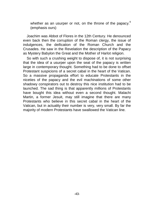whether as an usurper or not, on the throne of the papacy.<sup>9</sup> (emphasis ours)

Joachim was Abbot of Flores in the 12th Century. He denounced even back then the corruption of the Roman clergy, the issue of indulgences, the deification of the Roman Church and the Crusades. He saw in the Revelation the description of the Papacy as Mystery Babylon the Great and the Mother of Harlot religion.

So with such a crushing weight to dispose of, it is not surprising that the idea of a usurper upon the seat of the papacy is written large in contemporary thought. Something had to be done to offset Protestant suspicions of a secret cabal in the heart of the Vatican. So a massive propaganda effort to educate Protestants in the niceties of the papacy and the evil machinations of some other shadowy conspirators out to destroy this nice institution had to be launched. The sad thing is that apparently millions of Protestants have bought this idea without even a second thought. Malachi Martin, a former Jesuit, may still imagine that there are many Protestants who believe in this secret cabal in the heart of the Vatican, but in actuality their number is very, very small. By far the majority of modern Protestants have swallowed the Vatican line.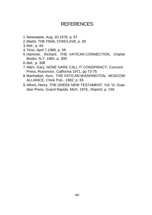# **REFERENCES**

- 1. Newsweek, Aug. 20,1979, p. 67
- 2. Martin, THE FINAL CONCLAVE, p. 29
- 3. Ibid., p. 64
- 4. Time, April 7,1980, p. 59
- 5. Hammer, Richard, THE VATICAN CONNECTION, Charter Books, N.Y. 1982, p. 309
- 6. ibid., p. 308
- 7. Allen, Gary, NONE DARE CALL IT CONSPIRACY, Concord Press, Rossmoor, California 1971, pp 73-75
- 8. Manhattan, Avro, THE VATICAN-WASHINGTON, MOSCOW ALLIANCE, Chick Pub., 1982, p. 65
- 9. Alford, Henry, THE GREEK NEW TESTAMENT, Vol. VI, Guardian Press, Grand Rapids, Mich. 1976., Reprint, p. 246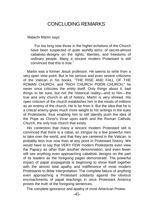#### CONCLUDING REMARKS

<span id="page-41-0"></span>Malachi Martin says:

For too long now those in the higher echelons of the Church have been suspected of quite worldly aims: of secret-almost cabalistic-designs on the rights, liberties, and freedoms of ordinary people. Many a sincere modern Protestant is still convinced that this is true.<sup>1</sup>

Martin was a former Jesuit professor. He seems to write from a very open view point. But in his serious and even severe criticisms of the Vatican in his books, "THE RISE AND FALL OF THE ROMAN CHURCH, and "RICH CHURCH POOR CHURCH," he never once criticizes the entity itself. Only things about it, bad things to be sure, but not the historical reality—and to him—the true and only church in all of history. Martin is very shrewd. His open criticism of the church establishes him in the minds of millions as an enemy of the church. He is far from it. But the idea that he is a critical enemy gives much more weight to his writings in the eyes of Protestants, thus enabling him to still latently push the idea of the Pope as Christ's Vicar upon earth and the Roman Catholic Church, the only true church that exists.

His contention that many a sincere modern Protestant still is convinced that there is a cabal, an intrigue by a few powerful men to take over the world, and that they are centered in the Vatican, is probably less true now than at any point in Protestant history. We would have to say that VERY FEW modern Protestants even view the Papacy as other than another denomination, and even fewer still see anything even approaching cabalistic designs on the part of its leaders as the foregoing pages demonstrate. The powerful impact of papal propaganda is beginning to show itself together with the almost total apathy and indifference of most modern Protestants to Bible Interpretation. The complete failure of anything even approaching a Protestant solidarity against the obvious encroachments of papal teachings in once Protestant America proves the truth of the foregoing sentences.

The complete ignorance and apathy of most American Protes-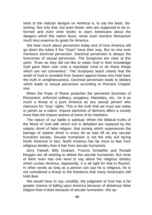tants to the Vatican designs on America is, to say the least, disturbing. Not only that, but even those, who are supposed to be informed and even write books to warn Americans about the dangers which this nation faces, never even mention Romanism much less examine its goals for America.

We hear much about perversion today and of how America will go down the tubes if the "Gays" have their way. But no one ever mentions doctrinal perversion. Doctrinal perversion is always the forerunner of sexual perversion. The Scriptures are clear at this point. "Even as they did not like to retain God in their knowledge God gave them over unto a reprobate mind to do those things which are not convenient." The Scriptures teach clearly that the wrath of God is revealed from heaven against those who hold back the truth in unrighteousness. Doctrinal perversion leads to idolatry which leads to sexual perversion according to Romans Chapter one.

When the Pope of Rome preaches the perverted doctrines of Romanism, enforced celibacy, purgatory, Mariolatry, etc., he is as much a threat to a pure America as any sexual pervert who clamours for "Gay" rights. This is the truth that we must see today or perish as a nation. Impure doctrines of demons affect a society more than the impure actions of some of its members.

The nature of our battle is spiritual. When the Biblical truths of the Word of God with which evil is defeated are replaced by the satanic drivel of false religion, that society which experiences the barrage of satanic drivel is every bit as bad off as any secular humanist society. Secular humanism is not the only evil facing North America! In fact, North America has far more to fear from religious idolatry than it has from secular humanists.

Jerry Falwell, Billy Graham, Francis Schaeffer and Ronald Reagan are all working to defeat the secular humanists. But none of them even has one word to say about the religious idolatry which curses America. Apparently, it is all right for that to flourish. In other words as long as a person can say he is religious, he is not considered a threat to the freedoms that many Americans still hold dear.

We would have to say candidly; the judgment of God has a far greater chance of falling upon America because of idolatrous false religion than it does because of secular humanism. We op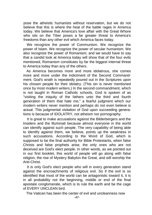pose the atheistic humanists without reservation, but we do not believe that this is where the heat of the battle rages in America today. We believe that America's love affair with the Great Whore who sits on the Tiber poses a far greater threat to America's freedoms than any other evil which America faces today.

We recognize the power of Communism. We recognize the power of Islam. We recognize the power of secular humanism. We also recognize the power of Romanism; and we would have to say that a candid look at America today will show that of the four evils mentioned, Romanism constitutes by far the biggest internal threat to America today than any of the others.

As America becomes more and more idolatrous, she comes more and more under the indictment of the Second Commandment. God's wrath is repeatedly poured out in the Scriptures upon his chosen people for their idolatry. (This sin is never mentioned once by most modern writers.) In the second commandment, which is not taught in Roman Catholic schools, God is spoken of as "visiting the iniquity of the fathers unto the third and fourth generation of them that hate me," a fearful judgment which our modern writers never mention and perhaps do not even believe is actual. This judgmental visitation of God upon succeeding generations is because of IDOLATRY, not atheism nor pornography.

It is great to make accusations against the Bilderbergers and the Insiders and the llluminati because almost everyone in the world can identify against such people. The very capability of being able to identify against them, we believe, points up the weakness in such accusations. According to the Word of God, which is supposed to be the final authority for Bible Protestants, when false Christs and false prophets arise, the only ones who are not deceived are God's elect people. In other words, as we pointed out in our first booklet, this world of people will go along with false religion, the rise of Mystery Babylon the Great, and will worship the Anti-Christ.

It is only God's elect people who will in every generation stand against the encroachments of religious evil. So if the evil is so identified that most of the world can be antagonistic toward it, it is in all probability not the beginning, middle or end of the final apostate conglomerate, which is to rule the earth and be the cage of EVERY UNCLEAN bird.

The Vatican has been the center of evil and uncleanness now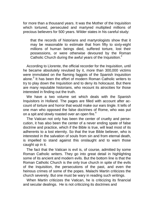for more than a thousand years. It was the Mother of the Inquisition which tortured, persecuted and martyred multiplied millions of precious believers for 500 years. Wilder states in his careful study:

that the records of historians and martyrologists show that it may be reasonable to estimate that from fifty to sixty-eight millions of human beings died, suffered torture, lost their possessions, or were otherwise devoured by the Roman Catholic Church during the awful years of the Inquisition.<sup>2</sup>

According to Llorente, the official recorder for the Inquisition, until he became absolutely revulsed by it, more than 300,000 victims were immolated on the flaming faggots of the Spanish Inquisition alone.<sup>3</sup> It has been the effort of modern Roman Catholic writers to try to play down the Inquisition and to deny its holocaust. But there are many reputable historians, who recount its atrocities for those interested in finding out the truth.

We have a two volume set which deals with the Spanish Inquisitors in Holland. The pages are filled with account after account of torture and horror that would make our ears tingle. It tells of one man who opposed the false doctrines of Rome, who was put on a spit and slowly roasted over an open fire.<sup>4</sup>

The Vatican not only has been the center of cruelty and persecution, it has also been the center of a never ending spate of false doctrine and practice, which if the Bible is true, will lead most of its adherents to a lost eternity. So that the true Bible believer, who is interested in the salvation of souls from sin and from eternal death, is impelled to stand against this onslaught and to warn those caught up in it.

The fact that the Vatican is evil is, of course, admitted by some Roman Catholic writers. They go into great detail in highlighting some of its ancient and modern evils. But the bottom line is that the Roman Catholic Church is the only true church in spite of the evils of the Inquisition, the persecutions of the past, and even the heinous crimes of some of the popes. Malachi Martin criticizes the church severely. But one must be wary in reading such writings.

When Martin criticizes the Vatican, he is criticizing its financial and secular dealings. He is not criticizing its doctrines and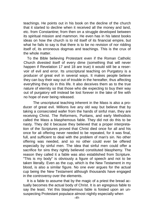teachings. He points out in his book on the decline of the church that it started to decline when it received all the money and land, etc. from Constantine; from then on a struggle developed between its spiritual mission and mammon. He even has in his latest books ideas on how the church is to rid itself of its financial empire, but what he fails to say is that there is to be no revision of nor ridding itself of, its erroneous dogmas and teachings. This is the crux of the whole matter.

To the Bible believing Protestant even if the Roman Catholic Church divested itself of every dime (something that will never happen if Revelation 17 and 18 are true) it would still be a reservoir of evil and error. Its unscriptural teaching on Purgatory is a producer of great evil in several ways. It makes people believe they can buy their way out of trouble in the hereafter, thus affecting everything they do in this life. It also deceives them as to the true nature of eternity so that those who die expecting to buy their way out of purgatory will instead be lost forever in the lake of fire with no hope of ever being released.

The unscriptural teaching inherent in the Mass is also a producer of great evil. Millions live any old way but believe that by taking a consecrated wafer from the hands of sinful man, they are receiving Christ. The Reformers, Puritans, and early Methodists called the Mass a blasphemous fable. They did not do this to be nasty. They did it because they believed that a proper interpretation of the Scriptures proved that Christ died once for all and his once for ali offering never needed to be repeated, for it was final, full, and sufficient to deal with the problem of man's sin. No other offering was needed, and so no other could ever be offered especially by sinful men. The idea that sinful men could offer a sacrifice for sins they rightly believed constituted blasphemy. The reason they called it a fable was also established from Scripture. "This is my body" is obviously a figure of speech and not to be taken literally. Even as the cup, which is the New Testament in my blood, is also a similar figure. No one ever argues for the actual cup being the New Testament although thousands have engaged in the controversy over the elements.

It is a fable to assume that by the magic of a priest the bread actually becomes the actual body of Christ. It is an egregious fable to say the least. Yet this blasphemous fable is foisted upon an unsuspecting Protestant populace almost nightly especially when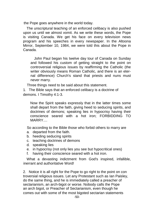the Pope goes anywhere in the world today.

The unscriptural teaching of an enforced celibacy is also pushed upon us until we almost vomit. As we write these words, the Pope is visiting Canada. We get his face on every television news program and his speeches in every newspaper. In the Altoona Mirror, September 10, 1984, we were told this about the Pope in Canada.

John Paul began his twelve day tour of Canada on Sunday and followed his custom of getting straight to the point on controversial religious issues by reaffirming the Catholic (the writer obviously means Roman Catholic, and there is an eternal difference) Church's stand that priests and nuns must never marry.

Three things need to be said about this statement.

1. The Bible says that an enforced celibacy is a doctrine of demons. I Timothy 4:1-3.

Now the Spirit speaks expressly that in the latter times some shall depart from the faith, giving heed to seducing spirits, and doctrines of demons; speaking lies in hypocrisy having their conscience seared with a hot iron; FORBIDDING TO MARRY....

So according to the Bible those who forbid others to marry are

- a. departed from the faith.
- b. heeding seducing spirits
- c. teaching doctrines of demons
- d. speaking lies
- e. in hypocrisy (not only lies you see but hypocritical ones)
- f. having their conscience seared with a hot iron.

What a devasting indictment from God's inspired, infallible, inerrant and authoritative Word!

2. Notice it is all right for the Pope to go right to the point on con troversial religious issues. Let any Protestant such as Ian Paisley, do the same thing, and he is immediately called a preacher of sectarianism, an arch-bigot or worse. Nobody calls the Pope an arch bigot, or Preacher of Sectarianism, even though he comes out with some of the most bigoted sectarian statements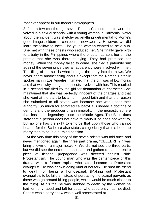that ever appear in our modern newspapers.

3. Just a few months ago seven Roman Catholic priests were involved in a sexual scandal with a young woman in California. News about the incident was sketchy as anything detrimental to Rome's good image seldom is considered newsworthy. However, we did learn the following facts. The young woman wanted to be a nun. She met with these priests who seduced her. She finally gave birth to a baby in the Philippines where the priests had sent her on the pretext that she was there studying. They had promised her money. When the money failed to come, she filed a paternity suit against the seven since they all apparently were involved with her. The filing of the suit is what brought the story into the news. We never heard another thing about it except that the Roman Catholic spokesman in Los Angeles intimated that the girl was of low morals and that was why she got the priests involved with her. This resulted in a second suit filed by the girl for defamation of character. She maintained that she was perfectly innocent of the charges and that she went at the start to be a nun in good faith and that the reason she submitted to all seven was because she was under their authority. So much for enforced celibacy! It is indeed a doctrine of demons and the producer of an immorality in the monastic sphere that has been legendary since the Middle Ages. The Bible does state that a person does not have to marry if he does not want to, but no one has the right to enforce that upon those who cannot bear it, for the Scripture also states categorically that it is better to marry than to be in a burning passion.

At the very time this story of the seven priests was told once and never mentioned again, the three part drama, "CELEBRITY," was bring shown on a major network. We did not see the three parts, but we did see the end of the last part and gathered that the entire piece of fictional propaganda was directed against Bible Protestantism. The young man who was the center piece of this drama was a former rapist, who later became a Protestant evangelist. He was shown going kind of berserk. He shot his friend to death for being a homosexual. (Making out Protestant evangelists to be killers instead of portraying the sexual perverts as those who go around killing people, which would be much closer to the truth). At his trial he was stabbed to death by the woman he had formerly raped and left for dead, who apparently had not died. So this whole sorry show was a well orchestrated at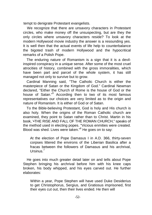tempt to denigrate Protestant evangelists.

We recognize that there are unsavory characters in Protestant circles, who make money off the unsuspecting, but are they the only circles where unsavory characters reside? To look at the modern Hollywood movie industry the answer is a resounding yes. It is well then that the actual events of life help to counterbalance the bigoted trash of modern Hollywood and the hypocritical remarks of a Polish Pope.

The enduring nature of Romanism is a sign that it is a devilinspired conspiracy in a unique sense. After some of the most cruel atrocities of history, combined with the gross immoralities, which have been part and parcel of the whole system, it has still managed not only to survive but to grow.

Cardinal Manning said, "The Catholic Church is either the masterpiece of Satan or the Kingdom of God." Cardinal Newman declared, "Either the Church of Rome is the house of God or the house of Satan."<sup>5</sup> According then to two of its most famous representatives our choices are very limited as to the origin and nature of Romanism. It is either of God or of Satan.

To the Bible-believing Protestant, God is holy and His church is also holy. When the origins of the Roman Catholic church are examined, they point to Satan rather than to Christ. Martin in his book, '•THE RISE AND FALL OF THE ROMAN CHURCH," speaks of the method used in electing popes. "Vicious enmities were created. Blood was shed. Lives were taken."<sup>6</sup> He goes on to say:

At the election of Pope Damasus I in A.D. 366, thirty-seven corpses littered the environs of the Liberian Basilica after a fracas between the followers of Damasus and his archrival, Ursinus<sup>7</sup>

He goes into much greater detail later on and tells about Pope Stephen bringing his archrival before him with his knee caps broken, his body whipped, and his eyes carved out. He further elaborates:

Within a year, Pope Stephen will have used Duke Desiderius to get Christophorus, Sergius, and Gratiosus imprisoned, first their eyes cut out, then their lives ended. He then will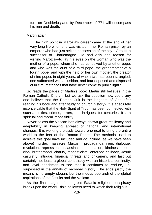turn on Desiderius and by December of 771 will encompass his ruin and death.

Martin again:

The high point in Marozia's career came at the end of her very long life when she was visited in her Roman prison by an emperor who had just seized possession of the city-Otto III, a successor of Charlemagne. He had only one reason for visiting Marozia—to lay his eyes on the woman who was the mother of a pope, whom she had conceived by another pope, and who was the aunt of a third pope, the grandmother of a fourth pope, and with the help of her own mother, the creator of nine popes in eight years, of whom two had been strangled, one suffocated with a cushion, and four deposed and disposed of in circumstances that have never come to public light.<sup>9</sup>

So reads the pages of Martin's book. Martin still believes in the Roman Catholic Church, but we ask the question how could any one believe that the Roman Cult is the kingdom of God after reading his book and after studying church history? It is absolutely inconceivable that the Holy Spirit of Truth has been connected with such atrocities, crimes, errors, and intrigues, for centuries. It is a spiritual and moral impossibility.

Nevertheless the Vatican has always shown great resiliency and adaptability in keeping abreast of national and international changes. It is working tirelessly toward one goal to bring the entire world to the feet of the Roman Pontiff. The methods used to achieve this goal have included and do include (as we have seen above) murder, massacre, Marxism, propaganda, irenic dialogue, revolution, repression, assassination, education, kindness, coercion, brotherhood, charity, monasticism, enforced celibacy, Jesuit casuistry, intrigue, financial threats and chicanery, and last but certainly not least, a global conspiracy with an historical continuity, and loyal henchmen to see that it continues to endure, unsurpassed in the annals of recorded history. The ends justify the means is no empty slogan, but the modus operandi of the global aspirations of the Jesuits and the Vatican.

As the final stages of the great Satanic religious conspiracy break upon the world, Bible believers need to watch their religious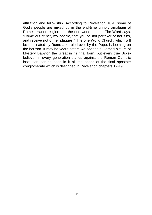affiliation and fellowship. According to Revelation 18:4, some of God's people are mixed up in the end-time unholy amalgam of Rome's Harlot religion and the one world church. The Word says, "Come out of her, my people, that you be not partaker of her sins, and receive not of her plagues." The one World Church, which will be dominated by Rome and ruled over by the Pope, is looming on the horizon. It may be years before we see the full-orbed picture of Mystery Babylon the Great in its final form, but every true Biblebeliever in every generation stands against the Roman Catholic institution, for he sees in it all the seeds of the final apostate conglomerate which is described in Revelation chapters 17-19.